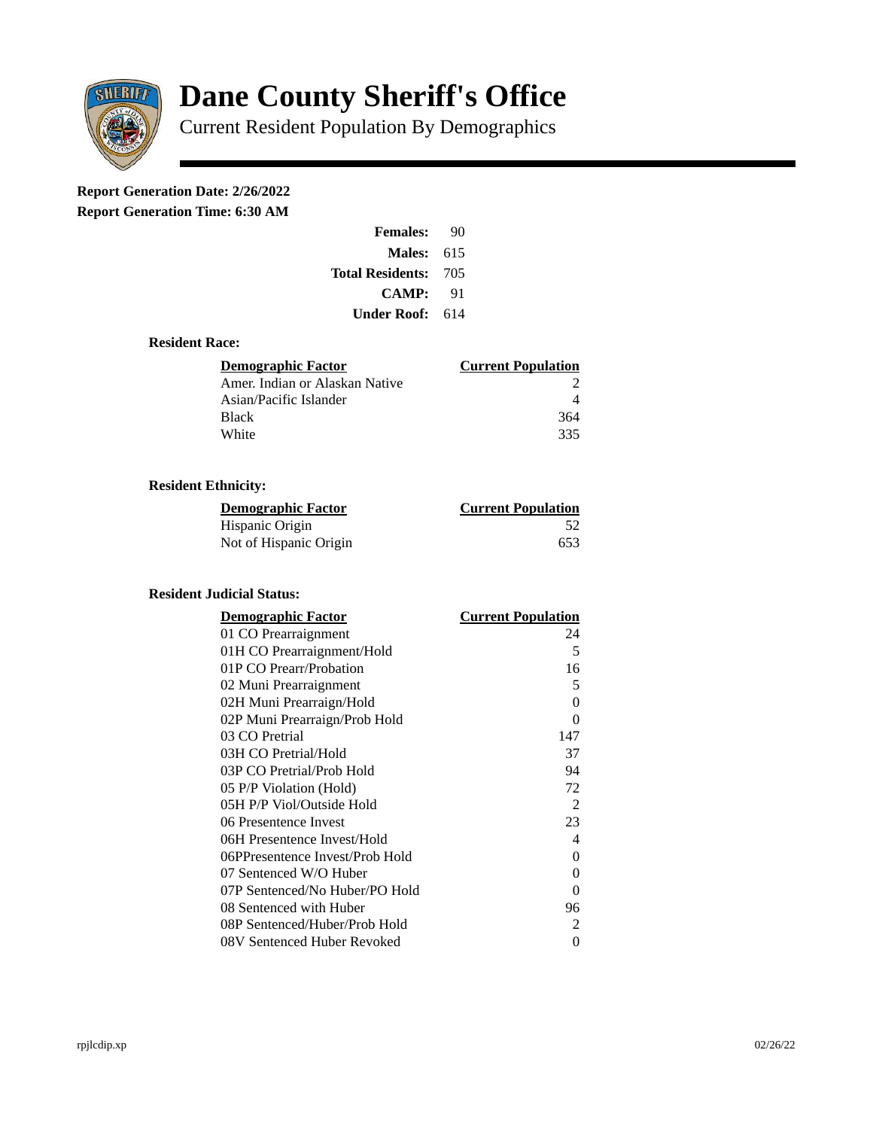

# **Dane County Sheriff's Office**

Current Resident Population By Demographics

# **Report Generation Date: 2/26/2022**

**Report Generation Time: 6:30 AM** 

| <b>Females:</b>         | 90  |
|-------------------------|-----|
| Males:                  | 615 |
| <b>Total Residents:</b> | 705 |
| CAMP:                   | 91  |
| Under Roof:             | 614 |

#### **Resident Race:**

| Demographic Factor             | <b>Current Population</b> |
|--------------------------------|---------------------------|
| Amer. Indian or Alaskan Native |                           |
| Asian/Pacific Islander         |                           |
| <b>Black</b>                   | 364                       |
| White                          | 335                       |

## **Resident Ethnicity:**

| <u>Demographic Factor</u> | <b>Current Population</b> |
|---------------------------|---------------------------|
| Hispanic Origin           | -52                       |
| Not of Hispanic Origin    | 653                       |

#### **Resident Judicial Status:**

| <b>Demographic Factor</b>       | <b>Current Population</b> |
|---------------------------------|---------------------------|
| 01 CO Prearraignment            | 24                        |
| 01H CO Prearraignment/Hold      | 5                         |
| 01P CO Prearr/Probation         | 16                        |
| 02 Muni Prearraignment          | 5                         |
| 02H Muni Prearraign/Hold        | 0                         |
| 02P Muni Prearraign/Prob Hold   | $\Omega$                  |
| 03 CO Pretrial                  | 147                       |
| 03H CO Pretrial/Hold            | 37                        |
| 03P CO Pretrial/Prob Hold       | 94                        |
| 05 P/P Violation (Hold)         | 72                        |
| 05H P/P Viol/Outside Hold       | 2                         |
| 06 Presentence Invest           | 23                        |
| 06H Presentence Invest/Hold     | 4                         |
| 06PPresentence Invest/Prob Hold | 0                         |
| 07 Sentenced W/O Huber          | 0                         |
| 07P Sentenced/No Huber/PO Hold  | 0                         |
| 08 Sentenced with Huber         | 96                        |
| 08P Sentenced/Huber/Prob Hold   | $\overline{2}$            |
| 08V Sentenced Huber Revoked     | 0                         |